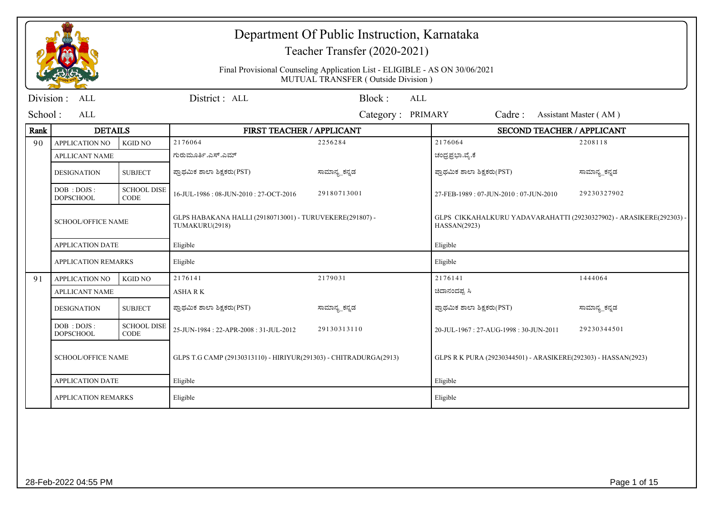|           |                                  |                                   |                                                                            | Department Of Public Instruction, Karnataka<br>Teacher Transfer (2020-2021)                                       |                  |                                                                                     |                       |  |
|-----------|----------------------------------|-----------------------------------|----------------------------------------------------------------------------|-------------------------------------------------------------------------------------------------------------------|------------------|-------------------------------------------------------------------------------------|-----------------------|--|
|           |                                  |                                   |                                                                            | Final Provisional Counseling Application List - ELIGIBLE - AS ON 30/06/2021<br>MUTUAL TRANSFER (Outside Division) |                  |                                                                                     |                       |  |
| Division: | <b>ALL</b>                       |                                   | District: ALL                                                              | Block:                                                                                                            | <b>ALL</b>       |                                                                                     |                       |  |
| School:   | AI.                              |                                   |                                                                            | Category: PRIMARY                                                                                                 |                  | Cadre:                                                                              | Assistant Master (AM) |  |
| Rank      | <b>DETAILS</b>                   |                                   | FIRST TEACHER / APPLICANT                                                  |                                                                                                                   |                  | <b>SECOND TEACHER / APPLICANT</b>                                                   |                       |  |
| 90        | <b>APPLICATION NO</b>            | <b>KGID NO</b>                    | 2176064                                                                    | 2256284                                                                                                           | 2176064          |                                                                                     | 2208118               |  |
|           | <b>APLLICANT NAME</b>            |                                   | ಗುರುಮೂರ್ತಿ.ಎಸ್.ಎಮ್                                                         |                                                                                                                   | ಚಂದ್ರಪ್ರಭಾ.ವೈ.ಕೆ |                                                                                     |                       |  |
|           | <b>DESIGNATION</b>               | <b>SUBJECT</b>                    | ಪ್ರಾಥಮಿಕ ಶಾಲಾ ಶಿಕ್ಷಕರು(PST)                                                | ಸಾಮಾನ್ಯ_ಕನ್ನಡ                                                                                                     |                  | ಪ್ರಾಥಮಿಕ ಶಾಲಾ ಶಿಕ್ಷಕರು(PST)                                                         | ಸಾಮಾನ್ಯ_ಕನ್ನಡ         |  |
|           | DOB : DOJS :<br><b>DOPSCHOOL</b> | <b>SCHOOL DISE</b><br><b>CODE</b> | 16-JUL-1986: 08-JUN-2010: 27-OCT-2016                                      | 29180713001                                                                                                       |                  | 27-FEB-1989: 07-JUN-2010: 07-JUN-2010                                               | 29230327902           |  |
|           | <b>SCHOOL/OFFICE NAME</b>        |                                   | GLPS HABAKANA HALLI (29180713001) - TURUVEKERE(291807) -<br>TUMAKURU(2918) |                                                                                                                   |                  | GLPS CIKKAHALKURU YADAVARAHATTI (29230327902) - ARASIKERE(292303) ·<br>HASSAN(2923) |                       |  |
|           | <b>APPLICATION DATE</b>          |                                   | Eligible                                                                   |                                                                                                                   | Eligible         |                                                                                     |                       |  |
|           | <b>APPLICATION REMARKS</b>       |                                   | Eligible                                                                   |                                                                                                                   | Eligible         |                                                                                     |                       |  |
| 91        | <b>APPLICATION NO</b>            | <b>KGID NO</b>                    | 2176141                                                                    | 2179031                                                                                                           | 2176141          |                                                                                     | 1444064               |  |
|           | <b>APLLICANT NAME</b>            |                                   | <b>ASHARK</b>                                                              |                                                                                                                   | ಚಿದಾನಂದಪ್ಪ ಸಿ    |                                                                                     |                       |  |
|           | <b>DESIGNATION</b>               | <b>SUBJECT</b>                    | ಪ್ರಾಥಮಿಕ ಶಾಲಾ ಶಿಕ್ಷಕರು(PST)                                                | ಸಾಮಾನ್ಯ_ಕನ್ನಡ                                                                                                     |                  | ಪ್ರಾಥಮಿಕ ಶಾಲಾ ಶಿಕ್ಷಕರು(PST)                                                         | ಸಾಮಾನ್ಯ_ಕನ್ನಡ         |  |
|           | DOB: DOJS:<br><b>DOPSCHOOL</b>   | <b>SCHOOL DISE</b><br><b>CODE</b> | 25-JUN-1984: 22-APR-2008: 31-JUL-2012                                      | 29130313110                                                                                                       |                  | 20-JUL-1967: 27-AUG-1998: 30-JUN-2011                                               | 29230344501           |  |
|           | <b>SCHOOL/OFFICE NAME</b>        |                                   | GLPS T.G CAMP (29130313110) - HIRIYUR(291303) - CHITRADURGA(2913)          |                                                                                                                   |                  | GLPS R K PURA (29230344501) - ARASIKERE(292303) - HASSAN(2923)                      |                       |  |
|           | <b>APPLICATION DATE</b>          |                                   | Eligible                                                                   |                                                                                                                   | Eligible         |                                                                                     |                       |  |
|           | <b>APPLICATION REMARKS</b>       |                                   | Eligible                                                                   |                                                                                                                   | Eligible         |                                                                                     |                       |  |
|           |                                  |                                   |                                                                            |                                                                                                                   |                  |                                                                                     |                       |  |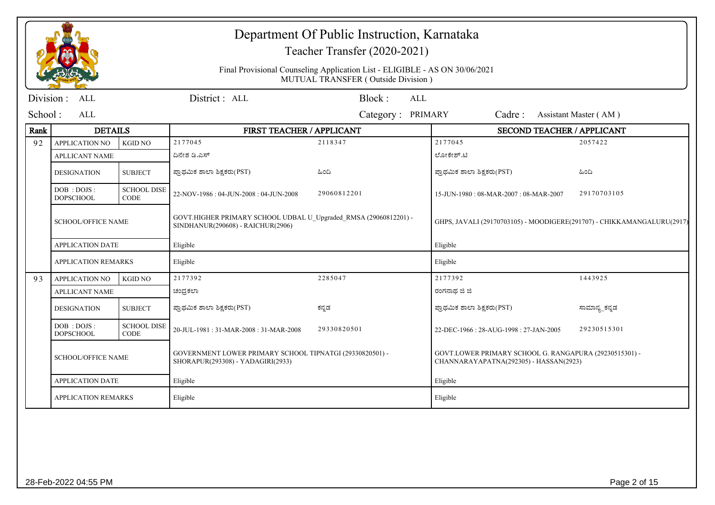|            |                                  |                                   |                                                                                                       | Department Of Public Instruction, Karnataka<br>Teacher Transfer (2020-2021)                                       |                                                                                                  |                       |  |
|------------|----------------------------------|-----------------------------------|-------------------------------------------------------------------------------------------------------|-------------------------------------------------------------------------------------------------------------------|--------------------------------------------------------------------------------------------------|-----------------------|--|
|            |                                  |                                   |                                                                                                       | Final Provisional Counseling Application List - ELIGIBLE - AS ON 30/06/2021<br>MUTUAL TRANSFER (Outside Division) |                                                                                                  |                       |  |
| Division : | <b>ALL</b>                       |                                   | District: ALL                                                                                         | Block:<br>ALL                                                                                                     |                                                                                                  |                       |  |
| School:    | <b>ALL</b>                       |                                   |                                                                                                       | Category: PRIMARY                                                                                                 | Cadre:                                                                                           | Assistant Master (AM) |  |
| Rank       | <b>DETAILS</b>                   |                                   | FIRST TEACHER / APPLICANT                                                                             |                                                                                                                   | <b>SECOND TEACHER / APPLICANT</b>                                                                |                       |  |
| 92         | <b>APPLICATION NO</b>            | <b>KGID NO</b>                    | 2177045                                                                                               | 2118347                                                                                                           | 2177045                                                                                          | 2057422               |  |
|            | <b>APLLICANT NAME</b>            |                                   | ದಿನೇಶ ಡಿ.ಎಸ್                                                                                          |                                                                                                                   | ಲೋಕೇಶ್.ಟಿ                                                                                        |                       |  |
|            | <b>DESIGNATION</b>               | <b>SUBJECT</b>                    | ಪ್ರಾಥಮಿಕ ಶಾಲಾ ಶಿಕ್ಷಕರು(PST)                                                                           | ಹಿಂದಿ                                                                                                             | ಪ್ರಾಥಮಿಕ ಶಾಲಾ ಶಿಕ್ಷಕರು(PST)                                                                      | ಹಿಂದಿ                 |  |
|            | DOB : DOJS :<br><b>DOPSCHOOL</b> | <b>SCHOOL DISE</b><br><b>CODE</b> | 22-NOV-1986: 04-JUN-2008: 04-JUN-2008                                                                 | 29060812201                                                                                                       | 15-JUN-1980: 08-MAR-2007: 08-MAR-2007                                                            | 29170703105           |  |
|            | <b>SCHOOL/OFFICE NAME</b>        |                                   | GOVT.HIGHER PRIMARY SCHOOL UDBAL U_Upgraded_RMSA (29060812201) -<br>SINDHANUR(290608) - RAICHUR(2906) |                                                                                                                   | GHPS, JAVALI (29170703105) - MOODIGERE(291707) - CHIKKAMANGALURU(2917)                           |                       |  |
|            | <b>APPLICATION DATE</b>          |                                   | Eligible                                                                                              |                                                                                                                   | Eligible                                                                                         |                       |  |
|            | <b>APPLICATION REMARKS</b>       |                                   | Eligible                                                                                              |                                                                                                                   | Eligible                                                                                         |                       |  |
| 93         | <b>APPLICATION NO</b>            | <b>KGID NO</b>                    | 2177392                                                                                               | 2285047                                                                                                           | 2177392                                                                                          | 1443925               |  |
|            | <b>APLLICANT NAME</b>            |                                   | ಚಂದ್ರಕಲಾ                                                                                              |                                                                                                                   | ರಂಗನಾಥ ಜಿ ಜಿ                                                                                     |                       |  |
|            | <b>DESIGNATION</b>               | <b>SUBJECT</b>                    | ಪ್ರಾಥಮಿಕ ಶಾಲಾ ಶಿಕ್ಷಕರು(PST)                                                                           | ಕನ್ನಡ                                                                                                             | ಪ್ರಾಥಮಿಕ ಶಾಲಾ ಶಿಕ್ಷಕರು(PST)                                                                      | ಸಾಮಾನ್ಯ_ಕನ್ನಡ         |  |
|            | DOB: DOJS:<br><b>DOPSCHOOL</b>   | <b>SCHOOL DISE</b><br>CODE        | 20-JUL-1981: 31-MAR-2008: 31-MAR-2008                                                                 | 29330820501                                                                                                       | 22-DEC-1966: 28-AUG-1998: 27-JAN-2005                                                            | 29230515301           |  |
|            | <b>SCHOOL/OFFICE NAME</b>        |                                   | GOVERNMENT LOWER PRIMARY SCHOOL TIPNATGI (29330820501) -<br>SHORAPUR(293308) - YADAGIRI(2933)         |                                                                                                                   | GOVT.LOWER PRIMARY SCHOOL G. RANGAPURA (29230515301) -<br>CHANNARAYAPATNA(292305) - HASSAN(2923) |                       |  |
|            | <b>APPLICATION DATE</b>          |                                   | Eligible                                                                                              |                                                                                                                   | Eligible                                                                                         |                       |  |
|            | <b>APPLICATION REMARKS</b>       |                                   | Eligible                                                                                              |                                                                                                                   |                                                                                                  |                       |  |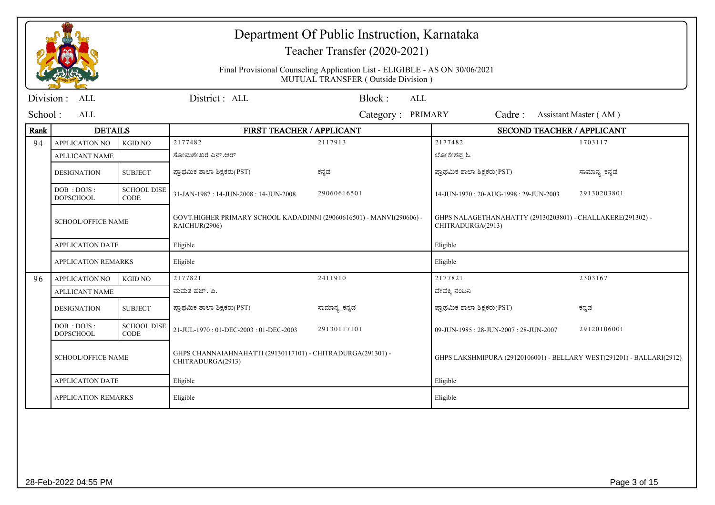|           |                                  |                                   | Department Of Public Instruction, Karnataka<br>Teacher Transfer (2020-2021)           |                                                                                                                   |                                                                                 |                       |  |
|-----------|----------------------------------|-----------------------------------|---------------------------------------------------------------------------------------|-------------------------------------------------------------------------------------------------------------------|---------------------------------------------------------------------------------|-----------------------|--|
|           |                                  |                                   |                                                                                       | Final Provisional Counseling Application List - ELIGIBLE - AS ON 30/06/2021<br>MUTUAL TRANSFER (Outside Division) |                                                                                 |                       |  |
| Division: | <b>ALL</b>                       |                                   | District: ALL                                                                         | Block:<br><b>ALL</b>                                                                                              |                                                                                 |                       |  |
| School:   | ALL                              |                                   |                                                                                       | Category: PRIMARY                                                                                                 | Cadre:                                                                          | Assistant Master (AM) |  |
| Rank      | <b>DETAILS</b>                   |                                   | FIRST TEACHER / APPLICANT                                                             |                                                                                                                   | <b>SECOND TEACHER / APPLICANT</b>                                               |                       |  |
| 94        | <b>APPLICATION NO</b>            | <b>KGID NO</b>                    | 2177482                                                                               | 2117913                                                                                                           | 2177482                                                                         | 1703117               |  |
|           | <b>APLLICANT NAME</b>            |                                   | ಸೋಮಶೇಖರ ಎನ್.ಆರ್                                                                       |                                                                                                                   | ಲೋಕೇಶಪ್ಪ ಓ                                                                      |                       |  |
|           | <b>DESIGNATION</b>               | <b>SUBJECT</b>                    | ಪ್ರಾಥಮಿಕ ಶಾಲಾ ಶಿಕ್ಷಕರು(PST)                                                           | ಕನ್ನಡ                                                                                                             | ಪ್ರಾಥಮಿಕ ಶಾಲಾ ಶಿಕ್ಷಕರು(PST)                                                     | ಸಾಮಾನ್ಯ_ಕನ್ನಡ         |  |
|           | DOB: DOJS:<br><b>DOPSCHOOL</b>   | <b>SCHOOL DISE</b><br><b>CODE</b> | 31-JAN-1987: 14-JUN-2008: 14-JUN-2008                                                 | 29060616501                                                                                                       | 14-JUN-1970: 20-AUG-1998: 29-JUN-2003                                           | 29130203801           |  |
|           | <b>SCHOOL/OFFICE NAME</b>        |                                   | GOVT.HIGHER PRIMARY SCHOOL KADADINNI (29060616501) - MANVI(290606) -<br>RAICHUR(2906) |                                                                                                                   | GHPS NALAGETHANAHATTY (29130203801) - CHALLAKERE(291302) -<br>CHITRADURGA(2913) |                       |  |
|           | <b>APPLICATION DATE</b>          |                                   | Eligible                                                                              |                                                                                                                   | Eligible                                                                        |                       |  |
|           | <b>APPLICATION REMARKS</b>       |                                   | Eligible                                                                              |                                                                                                                   | Eligible                                                                        |                       |  |
| 96        | APPLICATION NO                   | <b>KGID NO</b>                    | 2177821                                                                               | 2411910                                                                                                           | 2177821                                                                         | 2303167               |  |
|           | <b>APLLICANT NAME</b>            |                                   | ಮಮತ ಹೆಚ್. ಪಿ.                                                                         |                                                                                                                   | ದೇವಕ್ಕಿ ನಂದಿನಿ                                                                  |                       |  |
|           | <b>DESIGNATION</b>               | <b>SUBJECT</b>                    | ಪ್ರಾಥಮಿಕ ಶಾಲಾ ಶಿಕ್ಷಕರು(PST)                                                           | ಸಾಮಾನ್ಯ ಕನ್ನಡ                                                                                                     | ಪ್ರಾಥಮಿಕ ಶಾಲಾ ಶಿಕ್ಷಕರು(PST)                                                     | ಕನ್ನಡ                 |  |
|           | DOB : DOJS :<br><b>DOPSCHOOL</b> | <b>SCHOOL DISE</b><br><b>CODE</b> | 21-JUL-1970: 01-DEC-2003: 01-DEC-2003                                                 | 29130117101                                                                                                       | 09-JUN-1985: 28-JUN-2007: 28-JUN-2007                                           | 29120106001           |  |
|           | <b>SCHOOL/OFFICE NAME</b>        |                                   | GHPS CHANNAIAHNAHATTI (29130117101) - CHITRADURGA(291301) -<br>CHITRADURGA(2913)      |                                                                                                                   | GHPS LAKSHMIPURA (29120106001) - BELLARY WEST(291201) - BALLARI(2912)           |                       |  |
|           | <b>APPLICATION DATE</b>          |                                   | Eligible                                                                              |                                                                                                                   | Eligible                                                                        |                       |  |
|           | <b>APPLICATION REMARKS</b>       |                                   | Eligible                                                                              |                                                                                                                   | Eligible                                                                        |                       |  |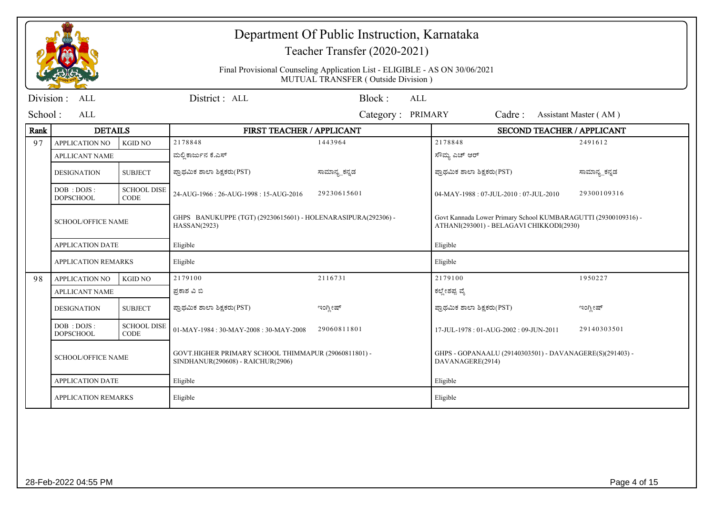|           |                                  |                                   |                                                                                           | Department Of Public Instruction, Karnataka<br>Teacher Transfer (2020-2021)                                       |                                                                                                            |                       |  |
|-----------|----------------------------------|-----------------------------------|-------------------------------------------------------------------------------------------|-------------------------------------------------------------------------------------------------------------------|------------------------------------------------------------------------------------------------------------|-----------------------|--|
|           |                                  |                                   |                                                                                           | Final Provisional Counseling Application List - ELIGIBLE - AS ON 30/06/2021<br>MUTUAL TRANSFER (Outside Division) |                                                                                                            |                       |  |
| Division: | <b>ALL</b>                       |                                   | District: ALL                                                                             | Block:<br><b>ALL</b>                                                                                              |                                                                                                            |                       |  |
| School:   | <b>ALL</b>                       |                                   |                                                                                           | Category: PRIMARY                                                                                                 | Cadre:                                                                                                     | Assistant Master (AM) |  |
| Rank      | <b>DETAILS</b>                   |                                   | FIRST TEACHER / APPLICANT                                                                 |                                                                                                                   | SECOND TEACHER / APPLICANT                                                                                 |                       |  |
| 97        | <b>APPLICATION NO</b>            | <b>KGID NO</b>                    | 2178848                                                                                   | 1443964                                                                                                           | 2178848                                                                                                    | 2491612               |  |
|           | <b>APLLICANT NAME</b>            |                                   | ಮಲ್ಲಿ ಕಾರ್ಜುನ ಕೆ.ಎಸ್                                                                      |                                                                                                                   | ಸೌಮ್ಯ ಎಚ್ ಆರ್                                                                                              |                       |  |
|           | <b>DESIGNATION</b>               | <b>SUBJECT</b>                    | ಪ್ರಾಥಮಿಕ ಶಾಲಾ ಶಿಕ್ಷಕರು(PST)                                                               | ಸಾಮಾನ್ಯ_ಕನ್ನಡ                                                                                                     | ಪ್ರಾಥಮಿಕ ಶಾಲಾ ಶಿಕ್ಷಕರು(PST)                                                                                | ಸಾಮಾನ್ಯ_ಕನ್ನಡ         |  |
|           | DOB: DOJS:<br><b>DOPSCHOOL</b>   | <b>SCHOOL DISE</b><br><b>CODE</b> | 24-AUG-1966: 26-AUG-1998: 15-AUG-2016                                                     | 29230615601                                                                                                       | 04-MAY-1988: 07-JUL-2010: 07-JUL-2010                                                                      | 29300109316           |  |
|           | <b>SCHOOL/OFFICE NAME</b>        |                                   | GHPS BANUKUPPE (TGT) (29230615601) - HOLENARASIPURA(292306) -<br>HASSAN(2923)             |                                                                                                                   | Govt Kannada Lower Primary School KUMBARAGUTTI (29300109316) -<br>ATHANI(293001) - BELAGAVI CHIKKODI(2930) |                       |  |
|           | <b>APPLICATION DATE</b>          |                                   | Eligible                                                                                  |                                                                                                                   | Eligible                                                                                                   |                       |  |
|           | <b>APPLICATION REMARKS</b>       |                                   | Eligible                                                                                  |                                                                                                                   | Eligible                                                                                                   |                       |  |
| 98        | <b>APPLICATION NO</b>            | <b>KGID NO</b>                    | 2179100                                                                                   | 2116731                                                                                                           | 2179100                                                                                                    | 1950227               |  |
|           | <b>APLLICANT NAME</b>            |                                   | ಪ್ರಕಾಶ ವಿ ಬಿ                                                                              |                                                                                                                   | ಕಲ್ಲೇಶಪ್ಪ ವೈ                                                                                               |                       |  |
|           | <b>DESIGNATION</b>               | <b>SUBJECT</b>                    | ಪ್ರಾಥಮಿಕ ಶಾಲಾ ಶಿಕ್ಷಕರು(PST)                                                               | ಇಂಗ್ಲೀಷ್                                                                                                          | ಪ್ರಾಥಮಿಕ ಶಾಲಾ ಶಿಕ್ಷಕರು(PST)                                                                                | ಇಂಗ್ಲೀಷ್              |  |
|           | DOB : DOJS :<br><b>DOPSCHOOL</b> | <b>SCHOOL DISE</b><br><b>CODE</b> | $01-MAY-1984:30-MAY-2008:30-MAY-2008$                                                     | 29060811801                                                                                                       | 17-JUL-1978: 01-AUG-2002: 09-JUN-2011                                                                      | 29140303501           |  |
|           | <b>SCHOOL/OFFICE NAME</b>        |                                   | GOVT.HIGHER PRIMARY SCHOOL THIMMAPUR (29060811801) -<br>SINDHANUR(290608) - RAICHUR(2906) |                                                                                                                   | GHPS - GOPANAALU (29140303501) - DAVANAGERE(S)(291403) -<br>DAVANAGERE(2914)                               |                       |  |
|           | <b>APPLICATION DATE</b>          |                                   | Eligible                                                                                  |                                                                                                                   | Eligible                                                                                                   |                       |  |
|           | <b>APPLICATION REMARKS</b>       |                                   | Eligible                                                                                  |                                                                                                                   | Eligible                                                                                                   |                       |  |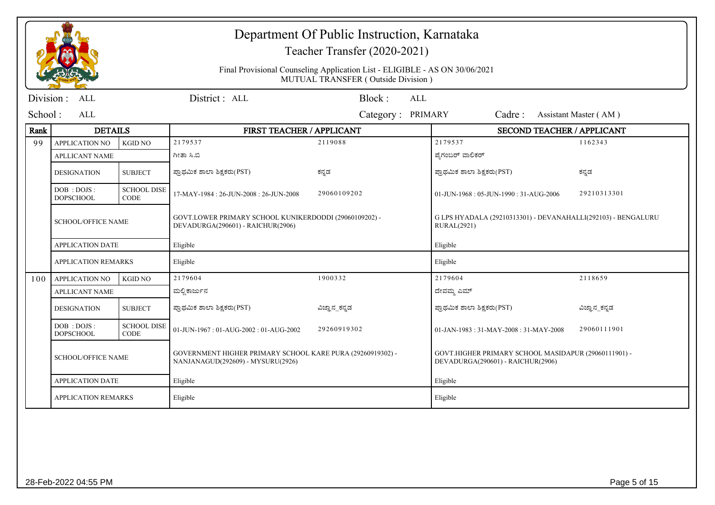|           |                                |                                   |                                                                                                 | Department Of Public Instruction, Karnataka<br>Teacher Transfer (2020-2021)                                       |                                                                                           |                       |  |
|-----------|--------------------------------|-----------------------------------|-------------------------------------------------------------------------------------------------|-------------------------------------------------------------------------------------------------------------------|-------------------------------------------------------------------------------------------|-----------------------|--|
|           |                                |                                   |                                                                                                 | Final Provisional Counseling Application List - ELIGIBLE - AS ON 30/06/2021<br>MUTUAL TRANSFER (Outside Division) |                                                                                           |                       |  |
| Division: | ALL                            |                                   | District: ALL                                                                                   | Block:<br><b>ALL</b>                                                                                              |                                                                                           |                       |  |
| School:   | <b>ALL</b>                     |                                   |                                                                                                 | Category: PRIMARY                                                                                                 | Cadre:                                                                                    | Assistant Master (AM) |  |
| Rank      | <b>DETAILS</b>                 |                                   | FIRST TEACHER / APPLICANT                                                                       |                                                                                                                   | <b>SECOND TEACHER / APPLICANT</b>                                                         |                       |  |
| 99        | <b>APPLICATION NO</b>          | <b>KGID NO</b>                    | 2179537                                                                                         | 2119088                                                                                                           | 2179537                                                                                   | 1162343               |  |
|           | <b>APLLICANT NAME</b>          |                                   | ಗೀತಾ ಸಿ.ಬಿ                                                                                      |                                                                                                                   | ಪ್ರೆಗಂಬರ್ ವಾಲಿಕರ್                                                                         |                       |  |
|           | <b>DESIGNATION</b>             | <b>SUBJECT</b>                    | ಪ್ರಾಥಮಿಕ ಶಾಲಾ ಶಿಕ್ಷಕರು(PST)                                                                     | ಕನ್ನಡ                                                                                                             | ಫ್ರಾಥಮಿಕ ಶಾಲಾ ಶಿಕ್ಷಕರು(PST)                                                               | ಕನ್ನಡ                 |  |
|           | DOB: DOJS:<br><b>DOPSCHOOL</b> | <b>SCHOOL DISE</b><br><b>CODE</b> | 17-MAY-1984: 26-JUN-2008: 26-JUN-2008                                                           | 29060109202                                                                                                       | 01-JUN-1968: 05-JUN-1990: 31-AUG-2006                                                     | 29210313301           |  |
|           | <b>SCHOOL/OFFICE NAME</b>      |                                   | GOVT.LOWER PRIMARY SCHOOL KUNIKERDODDI (29060109202) -<br>DEVADURGA(290601) - RAICHUR(2906)     |                                                                                                                   | G LPS HYADALA (29210313301) - DEVANAHALLI(292103) - BENGALURU<br><b>RURAL(2921)</b>       |                       |  |
|           | <b>APPLICATION DATE</b>        |                                   | Eligible                                                                                        |                                                                                                                   | Eligible                                                                                  |                       |  |
|           | <b>APPLICATION REMARKS</b>     |                                   | Eligible                                                                                        |                                                                                                                   | Eligible                                                                                  |                       |  |
| 100       | <b>APPLICATION NO</b>          | <b>KGID NO</b>                    | 2179604                                                                                         | 1900332                                                                                                           | 2179604                                                                                   | 2118659               |  |
|           | <b>APLLICANT NAME</b>          |                                   | ಮಲ್ಲಿ ಕಾರ್ಜುನ                                                                                   |                                                                                                                   | ದೇವಮ್ಮ ಎಮ್                                                                                |                       |  |
|           | <b>DESIGNATION</b>             | <b>SUBJECT</b>                    | ಪ್ರಾಥಮಿಕ ಶಾಲಾ ಶಿಕ್ಷಕರು(PST)                                                                     | ವಿಜ್ಞಾನ_ಕನ್ನಡ                                                                                                     | ಪ್ರಾಥಮಿಕ ಶಾಲಾ ಶಿಕ್ಷಕರು(PST)                                                               | ವಿಜ್ಞಾನ_ಕನ್ನಡ         |  |
|           | DOB: DOJS:<br><b>DOPSCHOOL</b> | <b>SCHOOL DISE</b><br><b>CODE</b> | 01-JUN-1967: 01-AUG-2002: 01-AUG-2002                                                           | 29260919302                                                                                                       | 01-JAN-1983: 31-MAY-2008: 31-MAY-2008                                                     | 29060111901           |  |
|           | <b>SCHOOL/OFFICE NAME</b>      |                                   | GOVERNMENT HIGHER PRIMARY SCHOOL KARE PURA (29260919302) -<br>NANJANAGUD(292609) - MYSURU(2926) |                                                                                                                   | GOVT.HIGHER PRIMARY SCHOOL MASIDAPUR (29060111901) -<br>DEVADURGA(290601) - RAICHUR(2906) |                       |  |
|           | <b>APPLICATION DATE</b>        |                                   | Eligible                                                                                        |                                                                                                                   | Eligible                                                                                  |                       |  |
|           | <b>APPLICATION REMARKS</b>     |                                   | Eligible                                                                                        |                                                                                                                   | Eligible                                                                                  |                       |  |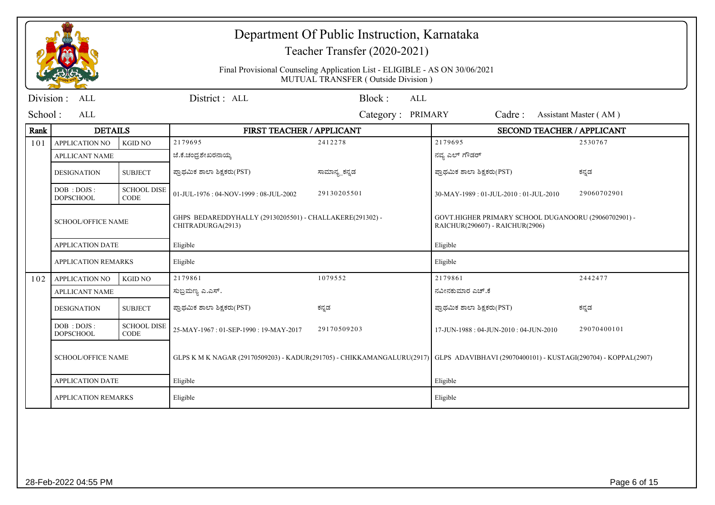|            |                                |                                   | Department Of Public Instruction, Karnataka<br>Teacher Transfer (2020-2021)                                                           |                                                                                                                   |                                                                                         |                       |  |
|------------|--------------------------------|-----------------------------------|---------------------------------------------------------------------------------------------------------------------------------------|-------------------------------------------------------------------------------------------------------------------|-----------------------------------------------------------------------------------------|-----------------------|--|
|            |                                |                                   |                                                                                                                                       | Final Provisional Counseling Application List - ELIGIBLE - AS ON 30/06/2021<br>MUTUAL TRANSFER (Outside Division) |                                                                                         |                       |  |
| Division : | <b>ALL</b>                     |                                   | District: ALL                                                                                                                         | Block:<br><b>ALL</b>                                                                                              |                                                                                         |                       |  |
| School:    | ALL                            |                                   |                                                                                                                                       | Category: PRIMARY                                                                                                 | Cadre:                                                                                  | Assistant Master (AM) |  |
| Rank       | <b>DETAILS</b>                 |                                   | FIRST TEACHER / APPLICANT                                                                                                             |                                                                                                                   | <b>SECOND TEACHER / APPLICANT</b>                                                       |                       |  |
| 101        | <b>APPLICATION NO</b>          | <b>KGID NO</b>                    | 2179695                                                                                                                               | 2412278                                                                                                           | 2179695                                                                                 | 2530767               |  |
|            | <b>APLLICANT NAME</b>          |                                   | ಜೆ.ಕೆ.ಚಂದ್ರಶೇಖರನಾಯ್ಕ                                                                                                                  |                                                                                                                   | ನವ್ಯ ಎಲ್ ಗೌಡರ್                                                                          |                       |  |
|            | <b>DESIGNATION</b>             | <b>SUBJECT</b>                    | ಪ್ರಾಥಮಿಕ ಶಾಲಾ ಶಿಕ್ಷಕರು(PST)                                                                                                           | ಸಾಮಾನ್ಯ ಕನ್ನಡ                                                                                                     | ಪ್ರಾಥಮಿಕ ಶಾಲಾ ಶಿಕ್ಷಕರು(PST)                                                             | ಕನ್ನಡ                 |  |
|            | DOB: DOJS:<br><b>DOPSCHOOL</b> | <b>SCHOOL DISE</b><br><b>CODE</b> | 01-JUL-1976: 04-NOV-1999: 08-JUL-2002                                                                                                 | 29130205501                                                                                                       | 30-MAY-1989: 01-JUL-2010: 01-JUL-2010                                                   | 29060702901           |  |
|            | <b>SCHOOL/OFFICE NAME</b>      |                                   | GHPS BEDAREDDYHALLY (29130205501) - CHALLAKERE(291302) -<br>CHITRADURGA(2913)                                                         |                                                                                                                   | GOVT.HIGHER PRIMARY SCHOOL DUGANOORU (29060702901) -<br>RAICHUR(290607) - RAICHUR(2906) |                       |  |
|            | <b>APPLICATION DATE</b>        |                                   | Eligible                                                                                                                              |                                                                                                                   | Eligible                                                                                |                       |  |
|            | <b>APPLICATION REMARKS</b>     |                                   | Eligible                                                                                                                              |                                                                                                                   | Eligible                                                                                |                       |  |
| 102        | <b>APPLICATION NO</b>          | <b>KGID NO</b>                    | 2179861                                                                                                                               | 1079552                                                                                                           | 2179861                                                                                 | 2442477               |  |
|            | <b>APLLICANT NAME</b>          |                                   | ಸುಬ್ರಮಣ್ಯ ಎ.ಎಸ್.                                                                                                                      |                                                                                                                   | ನವೀನಕುಮಾರ ಎಚ್.ಕೆ                                                                        |                       |  |
|            | <b>DESIGNATION</b>             | <b>SUBJECT</b>                    | ಪ್ರಾಥಮಿಕ ಶಾಲಾ ಶಿಕ್ಷಕರು(PST)                                                                                                           | ಕನ್ನಡ                                                                                                             | ಪ್ರಾಥಮಿಕ ಶಾಲಾ ಶಿಕ್ಷಕರು(PST)                                                             | ಕನ್ನಡ                 |  |
|            | DOB: DOJS:<br><b>DOPSCHOOL</b> | <b>SCHOOL DISE</b><br><b>CODE</b> | 25-MAY-1967: 01-SEP-1990: 19-MAY-2017                                                                                                 | 29170509203                                                                                                       | 17-JUN-1988: 04-JUN-2010: 04-JUN-2010                                                   | 29070400101           |  |
|            | <b>SCHOOL/OFFICE NAME</b>      |                                   | GLPS K M K NAGAR (29170509203) - KADUR(291705) - CHIKKAMANGALURU(2917) GLPS ADAVIBHAVI (29070400101) - KUSTAGI(290704) - KOPPAL(2907) |                                                                                                                   |                                                                                         |                       |  |
|            | <b>APPLICATION DATE</b>        |                                   | Eligible                                                                                                                              |                                                                                                                   | Eligible                                                                                |                       |  |
|            | <b>APPLICATION REMARKS</b>     |                                   | Eligible                                                                                                                              |                                                                                                                   | Eligible                                                                                |                       |  |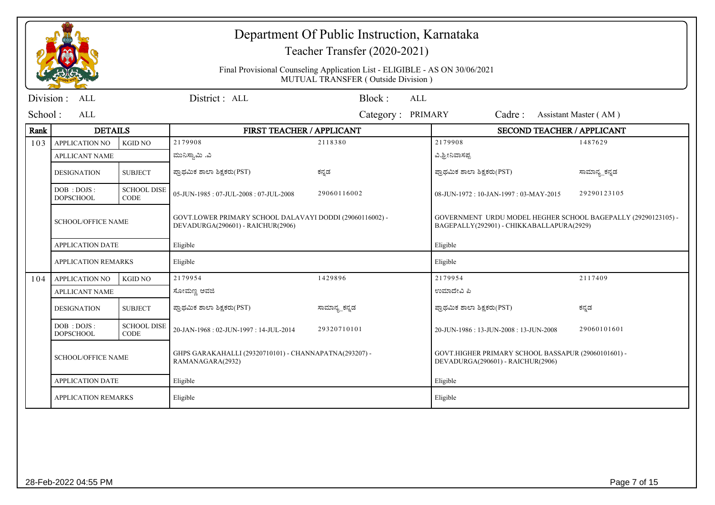|            |                                |                                   |                                                                                               | Department Of Public Instruction, Karnataka<br>Teacher Transfer (2020-2021)                                       |                                                                                                            |                       |  |
|------------|--------------------------------|-----------------------------------|-----------------------------------------------------------------------------------------------|-------------------------------------------------------------------------------------------------------------------|------------------------------------------------------------------------------------------------------------|-----------------------|--|
|            |                                |                                   |                                                                                               | Final Provisional Counseling Application List - ELIGIBLE - AS ON 30/06/2021<br>MUTUAL TRANSFER (Outside Division) |                                                                                                            |                       |  |
| Division : | ALL                            |                                   | District: ALL                                                                                 | Block:<br>AI.                                                                                                     |                                                                                                            |                       |  |
| School:    | AI.                            |                                   |                                                                                               | Category: PRIMARY                                                                                                 | Cadre:                                                                                                     | Assistant Master (AM) |  |
| Rank       | <b>DETAILS</b>                 |                                   | FIRST TEACHER / APPLICANT                                                                     |                                                                                                                   | <b>SECOND TEACHER / APPLICANT</b>                                                                          |                       |  |
| 103        | <b>APPLICATION NO</b>          | <b>KGID NO</b>                    | 2179908                                                                                       | 2118380                                                                                                           | 2179908                                                                                                    | 1487629               |  |
|            | <b>APLLICANT NAME</b>          |                                   | ಮುನಿಸ್ವಾಮಿ .ವಿ                                                                                |                                                                                                                   | ವಿ.ಶ್ರೀನಿವಾಸಪ್ಪ                                                                                            |                       |  |
|            | <b>DESIGNATION</b>             | <b>SUBJECT</b>                    | ಪ್ರಾಥಮಿಕ ಶಾಲಾ ಶಿಕ್ಷಕರು(PST)                                                                   | ಕನ್ನಡ                                                                                                             | ಪ್ರಾಥಮಿಕ ಶಾಲಾ ಶಿಕ್ಷಕರು(PST)                                                                                | ಸಾಮಾನ್ಯ_ಕನ್ನಡ         |  |
|            | DOB: DOJS:<br><b>DOPSCHOOL</b> | <b>SCHOOL DISE</b><br><b>CODE</b> | 05-JUN-1985: 07-JUL-2008: 07-JUL-2008                                                         | 29060116002                                                                                                       | 08-JUN-1972: 10-JAN-1997: 03-MAY-2015                                                                      | 29290123105           |  |
|            | <b>SCHOOL/OFFICE NAME</b>      |                                   | GOVT.LOWER PRIMARY SCHOOL DALAVAYI DODDI (29060116002) -<br>DEVADURGA(290601) - RAICHUR(2906) |                                                                                                                   | GOVERNMENT URDU MODEL HEGHER SCHOOL BAGEPALLY (29290123105) -<br>BAGEPALLY(292901) - CHIKKABALLAPURA(2929) |                       |  |
|            | <b>APPLICATION DATE</b>        |                                   | Eligible                                                                                      |                                                                                                                   | Eligible                                                                                                   |                       |  |
|            | <b>APPLICATION REMARKS</b>     |                                   | Eligible                                                                                      |                                                                                                                   | Eligible                                                                                                   |                       |  |
| 104        | <b>APPLICATION NO</b>          | <b>KGID NO</b>                    | 2179954                                                                                       | 1429896                                                                                                           | 2179954                                                                                                    | 2117409               |  |
|            | <b>APLLICANT NAME</b>          |                                   | ಸೋಮಣ್ಣ ಅವಜಿ                                                                                   |                                                                                                                   | ಉಮಾದೇವಿ ಪಿ                                                                                                 |                       |  |
|            | <b>DESIGNATION</b>             | <b>SUBJECT</b>                    | ಪ್ರಾಥಮಿಕ ಶಾಲಾ ಶಿಕ್ಷಕರು(PST)                                                                   | ಸಾಮಾನ್ಯ_ಕನ್ನಡ                                                                                                     | ಪ್ರಾಥಮಿಕ ಶಾಲಾ ಶಿಕ್ಷಕರು(PST)                                                                                | ಕನ್ನಡ                 |  |
|            | DOB: DOJS:<br><b>DOPSCHOOL</b> | <b>SCHOOL DISE</b><br><b>CODE</b> | 20-JAN-1968: 02-JUN-1997: 14-JUL-2014                                                         | 29320710101                                                                                                       | 20-JUN-1986: 13-JUN-2008: 13-JUN-2008                                                                      | 29060101601           |  |
|            | <b>SCHOOL/OFFICE NAME</b>      |                                   | GHPS GARAKAHALLI (29320710101) - CHANNAPATNA(293207) -<br>RAMANAGARA(2932)                    |                                                                                                                   | GOVT.HIGHER PRIMARY SCHOOL BASSAPUR (29060101601) -<br>DEVADURGA(290601) - RAICHUR(2906)                   |                       |  |
|            | <b>APPLICATION DATE</b>        |                                   | Eligible                                                                                      |                                                                                                                   | Eligible                                                                                                   |                       |  |
|            | <b>APPLICATION REMARKS</b>     |                                   | Eligible                                                                                      |                                                                                                                   | Eligible                                                                                                   |                       |  |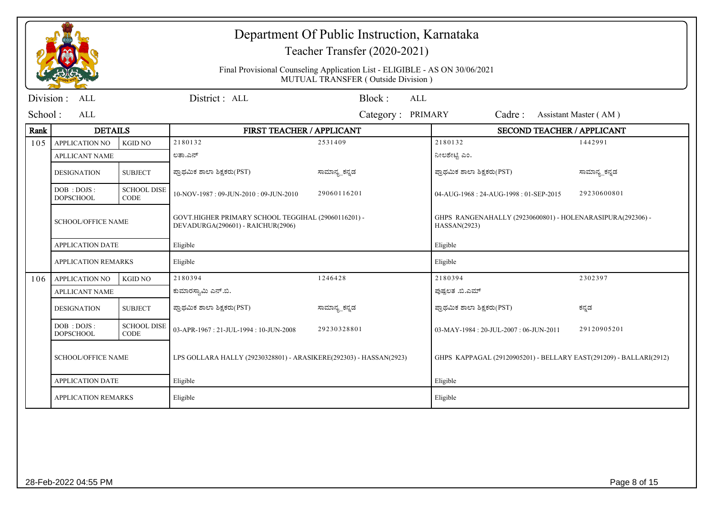|           |                                  |                                   |                                                                                          | Department Of Public Instruction, Karnataka<br>Teacher Transfer (2020-2021)<br>Final Provisional Counseling Application List - ELIGIBLE - AS ON 30/06/2021 |                                                                            |                       |
|-----------|----------------------------------|-----------------------------------|------------------------------------------------------------------------------------------|------------------------------------------------------------------------------------------------------------------------------------------------------------|----------------------------------------------------------------------------|-----------------------|
|           |                                  |                                   |                                                                                          | MUTUAL TRANSFER (Outside Division)                                                                                                                         |                                                                            |                       |
| Division: | <b>ALL</b>                       |                                   | District: ALL                                                                            | Block:<br><b>ALL</b>                                                                                                                                       |                                                                            |                       |
| School:   | <b>ALL</b>                       |                                   |                                                                                          | Category: PRIMARY                                                                                                                                          | Cadre:                                                                     | Assistant Master (AM) |
| Rank      | <b>DETAILS</b>                   |                                   | FIRST TEACHER / APPLICANT                                                                |                                                                                                                                                            | <b>SECOND TEACHER / APPLICANT</b>                                          |                       |
| 105       | <b>APPLICATION NO</b>            | <b>KGID NO</b>                    | 2180132                                                                                  | 2531409                                                                                                                                                    | 2180132                                                                    | 1442991               |
|           | <b>APLLICANT NAME</b>            |                                   | ಲತಾ.ಎನ್                                                                                  |                                                                                                                                                            | ನೀಲಶೇಟ್ಟಿ ಎಂ.                                                              |                       |
|           | <b>DESIGNATION</b>               | <b>SUBJECT</b>                    | ಪ್ರಾಥಮಿಕ ಶಾಲಾ ಶಿಕ್ಷಕರು(PST)                                                              | ಸಾಮಾನ್ಯ_ಕನ್ನಡ                                                                                                                                              | ಪ್ರಾಥಮಿಕ ಶಾಲಾ ಶಿಕ್ಷಕರು(PST)                                                | ಸಾಮಾನ್ಯ_ಕನ್ನಡ         |
|           | DOB : DOJS :<br><b>DOPSCHOOL</b> | <b>SCHOOL DISE</b><br><b>CODE</b> | 10-NOV-1987: 09-JUN-2010: 09-JUN-2010                                                    | 29060116201                                                                                                                                                | 04-AUG-1968: 24-AUG-1998: 01-SEP-2015                                      | 29230600801           |
|           | <b>SCHOOL/OFFICE NAME</b>        |                                   | GOVT.HIGHER PRIMARY SCHOOL TEGGIHAL (29060116201) -<br>DEVADURGA(290601) - RAICHUR(2906) |                                                                                                                                                            | GHPS RANGENAHALLY (29230600801) - HOLENARASIPURA(292306) -<br>HASSAN(2923) |                       |
|           | <b>APPLICATION DATE</b>          |                                   | Eligible                                                                                 |                                                                                                                                                            | Eligible                                                                   |                       |
|           | <b>APPLICATION REMARKS</b>       |                                   | Eligible                                                                                 |                                                                                                                                                            | Eligible                                                                   |                       |
| 106       | <b>APPLICATION NO</b>            | <b>KGID NO</b>                    | 2180394                                                                                  | 1246428                                                                                                                                                    | 2180394                                                                    | 2302397               |
|           | <b>APLLICANT NAME</b>            |                                   | ಕುಮಾರಸ್ವಾಮಿ ಎನ್.ಬಿ.                                                                      |                                                                                                                                                            | ಪುಷ್ಪಲತ .ಬಿ.ಎಮ್                                                            |                       |
|           | <b>DESIGNATION</b>               | <b>SUBJECT</b>                    | ಪ್ರಾಥಮಿಕ ಶಾಲಾ ಶಿಕ್ಷಕರು(PST)                                                              | ಸಾಮಾನ್ಯ_ಕನ್ನಡ                                                                                                                                              | ಪ್ರಾಥಮಿಕ ಶಾಲಾ ಶಿಕ್ಷಕರು(PST)                                                | ಕನ್ನಡ                 |
|           | DOB : DOJS :<br><b>DOPSCHOOL</b> | <b>SCHOOL DISE</b><br><b>CODE</b> | 03-APR-1967: 21-JUL-1994: 10-JUN-2008                                                    | 29230328801                                                                                                                                                | 03-MAY-1984: 20-JUL-2007: 06-JUN-2011                                      | 29120905201           |
|           | <b>SCHOOL/OFFICE NAME</b>        |                                   | LPS GOLLARA HALLY (29230328801) - ARASIKERE(292303) - HASSAN(2923)                       |                                                                                                                                                            | GHPS KAPPAGAL (29120905201) - BELLARY EAST(291209) - BALLARI(2912)         |                       |
|           | <b>APPLICATION DATE</b>          |                                   | Eligible                                                                                 |                                                                                                                                                            | Eligible                                                                   |                       |
|           | <b>APPLICATION REMARKS</b>       |                                   | Eligible                                                                                 |                                                                                                                                                            | Eligible                                                                   |                       |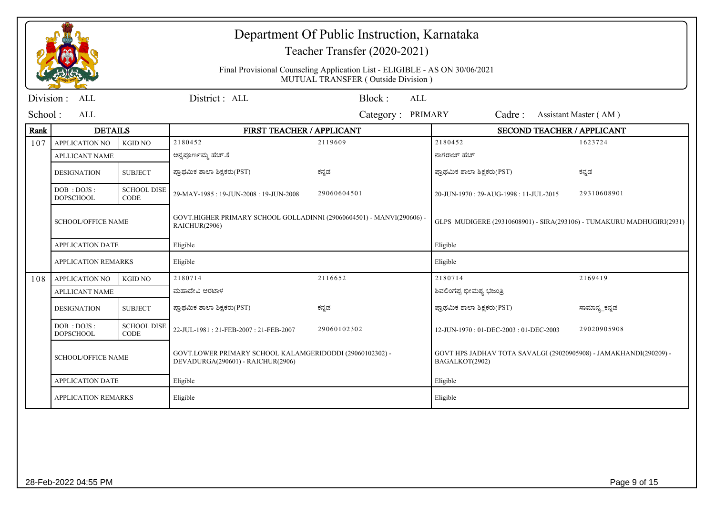|           |                                  |                                   |                                                                                               | Department Of Public Instruction, Karnataka<br>Teacher Transfer (2020-2021)<br>Final Provisional Counseling Application List - ELIGIBLE - AS ON 30/06/2021<br>MUTUAL TRANSFER (Outside Division) |                                                                                     |                       |
|-----------|----------------------------------|-----------------------------------|-----------------------------------------------------------------------------------------------|--------------------------------------------------------------------------------------------------------------------------------------------------------------------------------------------------|-------------------------------------------------------------------------------------|-----------------------|
| Division: | <b>ALL</b>                       |                                   | District: ALL                                                                                 | Block:<br><b>ALL</b>                                                                                                                                                                             |                                                                                     |                       |
| School:   | ALL                              |                                   |                                                                                               | Category: PRIMARY                                                                                                                                                                                | Cadre:                                                                              | Assistant Master (AM) |
| Rank      | <b>DETAILS</b>                   |                                   | FIRST TEACHER / APPLICANT                                                                     |                                                                                                                                                                                                  | <b>SECOND TEACHER / APPLICANT</b>                                                   |                       |
| 107       | <b>APPLICATION NO</b>            | <b>KGID NO</b>                    | 2180452                                                                                       | 2119609                                                                                                                                                                                          | 2180452                                                                             | 1623724               |
|           | <b>APLLICANT NAME</b>            |                                   | ಅನ್ನಪೂರ್ಣಮ್ಮ ಹೆಚ್.ಕೆ                                                                          |                                                                                                                                                                                                  | ನಾಗರಾಜ್ ಹೆಚ್                                                                        |                       |
|           | <b>DESIGNATION</b>               | <b>SUBJECT</b>                    | ಪ್ರಾಥಮಿಕ ಶಾಲಾ ಶಿಕ್ಷಕರು(PST)                                                                   | ಕನ್ನಡ                                                                                                                                                                                            | ಪ್ರಾಥಮಿಕ ಶಾಲಾ ಶಿಕ್ಷಕರು(PST)                                                         | ಕನ್ನಡ                 |
|           | DOB : DOJS :<br><b>DOPSCHOOL</b> | <b>SCHOOL DISE</b><br><b>CODE</b> | 29-MAY-1985: 19-JUN-2008: 19-JUN-2008                                                         | 29060604501                                                                                                                                                                                      | 20-JUN-1970: 29-AUG-1998: 11-JUL-2015                                               | 29310608901           |
|           | <b>SCHOOL/OFFICE NAME</b>        |                                   | GOVT.HIGHER PRIMARY SCHOOL GOLLADINNI (29060604501) - MANVI(290606) -<br>RAICHUR(2906)        |                                                                                                                                                                                                  | GLPS MUDIGERE (29310608901) - SIRA(293106) - TUMAKURU MADHUGIRI(2931)               |                       |
|           | <b>APPLICATION DATE</b>          |                                   | Eligible                                                                                      |                                                                                                                                                                                                  | Eligible                                                                            |                       |
|           | <b>APPLICATION REMARKS</b>       |                                   | Eligible                                                                                      |                                                                                                                                                                                                  | Eligible                                                                            |                       |
| 108       | <b>APPLICATION NO</b>            | <b>KGID NO</b>                    | 2180714                                                                                       | 2116652                                                                                                                                                                                          | 2180714                                                                             | 2169419               |
|           | <b>APLLICANT NAME</b>            |                                   | ಮಹಾದೇವಿ ಅರಟಾಳ                                                                                 |                                                                                                                                                                                                  | ಶಿವಲಿಂಗಪ್ಪ ಭೀಮಶ್ಯ ಭಜಂತ್ರಿ                                                           |                       |
|           | <b>DESIGNATION</b>               | <b>SUBJECT</b>                    | ಪ್ರಾಥಮಿಕ ಶಾಲಾ ಶಿಕ್ಷಕರು(PST)                                                                   | ಕನ್ನಡ                                                                                                                                                                                            | ಪ್ರಾಥಮಿಕ ಶಾಲಾ ಶಿಕ್ಷಕರು(PST)                                                         | ಸಾಮಾನ್ಯ_ಕನ್ನಡ         |
|           | DOB: DOJS:<br><b>DOPSCHOOL</b>   | <b>SCHOOL DISE</b><br><b>CODE</b> | 22-JUL-1981: 21-FEB-2007: 21-FEB-2007                                                         | 29060102302                                                                                                                                                                                      | 12-JUN-1970: 01-DEC-2003: 01-DEC-2003                                               | 29020905908           |
|           | <b>SCHOOL/OFFICE NAME</b>        |                                   | GOVT.LOWER PRIMARY SCHOOL KALAMGERIDODDI (29060102302) -<br>DEVADURGA(290601) - RAICHUR(2906) |                                                                                                                                                                                                  | GOVT HPS JADHAV TOTA SAVALGI (29020905908) - JAMAKHANDI(290209) -<br>BAGALKOT(2902) |                       |
|           | <b>APPLICATION DATE</b>          |                                   | Eligible                                                                                      |                                                                                                                                                                                                  | Eligible                                                                            |                       |
|           | <b>APPLICATION REMARKS</b>       |                                   | Eligible                                                                                      |                                                                                                                                                                                                  | Eligible                                                                            |                       |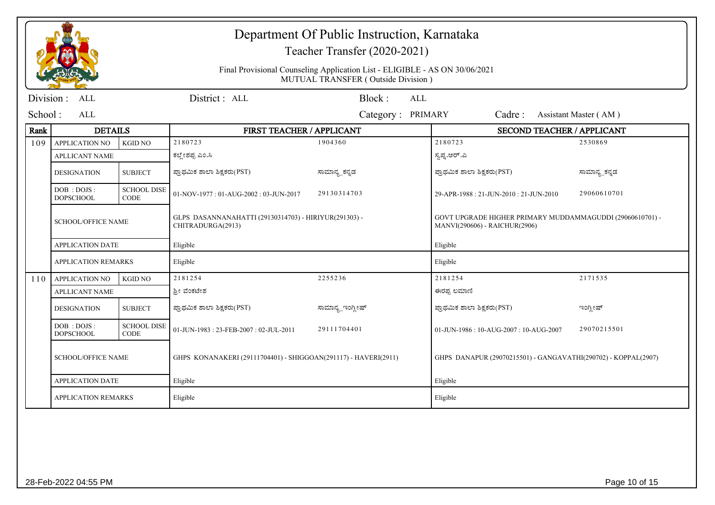|           |                                  |                                   | Department Of Public Instruction, Karnataka<br>Teacher Transfer (2020-2021) |                                                                                                                   |                                                                                            |                       |  |
|-----------|----------------------------------|-----------------------------------|-----------------------------------------------------------------------------|-------------------------------------------------------------------------------------------------------------------|--------------------------------------------------------------------------------------------|-----------------------|--|
|           |                                  |                                   |                                                                             | Final Provisional Counseling Application List - ELIGIBLE - AS ON 30/06/2021<br>MUTUAL TRANSFER (Outside Division) |                                                                                            |                       |  |
| Division: | <b>ALL</b>                       |                                   | District: ALL                                                               | Block:<br>ALL                                                                                                     |                                                                                            |                       |  |
| School:   | ALL                              |                                   |                                                                             | Category: PRIMARY                                                                                                 | Cadre:                                                                                     | Assistant Master (AM) |  |
| Rank      | <b>DETAILS</b>                   |                                   | FIRST TEACHER / APPLICANT                                                   |                                                                                                                   | <b>SECOND TEACHER / APPLICANT</b>                                                          |                       |  |
| 109       | <b>APPLICATION NO</b>            | <b>KGID NO</b>                    | 2180723                                                                     | 1904360                                                                                                           | 2180723                                                                                    | 2530869               |  |
|           | <b>APLLICANT NAME</b>            |                                   | ಕಲ್ಲೇಶಪ್ಪ ಎಂ.ಸಿ                                                             |                                                                                                                   | ಸ್ವಪ್ನ.ಆರ್.ಎ                                                                               |                       |  |
|           | <b>DESIGNATION</b>               | <b>SUBJECT</b>                    | ಪ್ರಾಥಮಿಕ ಶಾಲಾ ಶಿಕ್ಷಕರು(PST)                                                 | ಸಾಮಾನ್ಯ ಕನ್ನಡ                                                                                                     | ಪ್ರಾಥಮಿಕ ಶಾಲಾ ಶಿಕ್ಷಕರು(PST)                                                                | ಸಾಮಾನ್ಯ ಕನ್ನಡ         |  |
|           | DOB : DOJS :<br><b>DOPSCHOOL</b> | <b>SCHOOL DISE</b><br><b>CODE</b> | 01-NOV-1977: 01-AUG-2002: 03-JUN-2017                                       | 29130314703                                                                                                       | 29-APR-1988: 21-JUN-2010: 21-JUN-2010                                                      | 29060610701           |  |
|           | <b>SCHOOL/OFFICE NAME</b>        |                                   | GLPS DASANNANAHATTI (29130314703) - HIRIYUR(291303) -<br>CHITRADURGA(2913)  |                                                                                                                   | GOVT UPGRADE HIGHER PRIMARY MUDDAMMAGUDDI (29060610701) -<br>MANVI(290606) - RAICHUR(2906) |                       |  |
|           | <b>APPLICATION DATE</b>          |                                   | Eligible                                                                    |                                                                                                                   | Eligible                                                                                   |                       |  |
|           | <b>APPLICATION REMARKS</b>       |                                   | Eligible                                                                    |                                                                                                                   | Eligible                                                                                   |                       |  |
| 110       | <b>APPLICATION NO</b>            | <b>KGID NO</b>                    | 2181254                                                                     | 2255236                                                                                                           | 2181254                                                                                    | 2171535               |  |
|           | <b>APLLICANT NAME</b>            |                                   | ಶ್ರೀ ವೆಂಕಟೇಶ                                                                |                                                                                                                   | ಈರಪ್ಪ ಲಮಾಣಿ                                                                                |                       |  |
|           | <b>DESIGNATION</b>               | <b>SUBJECT</b>                    | ಪ್ರಾಥಮಿಕ ಶಾಲಾ ಶಿಕ್ಷಕರು(PST)                                                 | ಸಾಮಾನ್ಯ_ಇಂಗ್ಲೀಷ್                                                                                                  | ಪ್ರಾಥಮಿಕ ಶಾಲಾ ಶಿಕ್ಷಕರು(PST)                                                                | ಇಂಗ್ಲೀಷ್              |  |
|           | DOB: DOJS:<br><b>DOPSCHOOL</b>   | <b>SCHOOL DISE</b><br><b>CODE</b> | 01-JUN-1983: 23-FEB-2007: 02-JUL-2011                                       | 29111704401                                                                                                       | 01-JUN-1986: 10-AUG-2007: 10-AUG-2007                                                      | 29070215501           |  |
|           | <b>SCHOOL/OFFICE NAME</b>        |                                   | GHPS KONANAKERI (29111704401) - SHIGGOAN(291117) - HAVERI(2911)             |                                                                                                                   | GHPS DANAPUR (29070215501) - GANGAVATHI(290702) - KOPPAL(2907)                             |                       |  |
|           | <b>APPLICATION DATE</b>          |                                   | Eligible                                                                    |                                                                                                                   | Eligible                                                                                   |                       |  |
|           | <b>APPLICATION REMARKS</b>       |                                   | Eligible                                                                    |                                                                                                                   | Eligible                                                                                   |                       |  |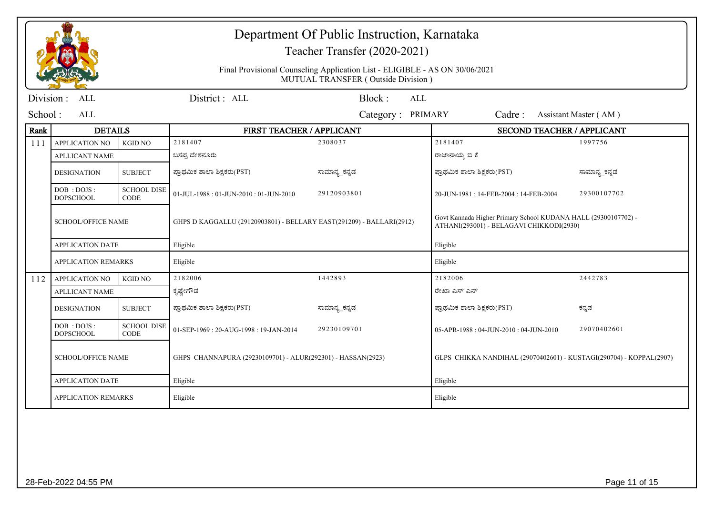|           |                                  |                                   |                                                                      | Department Of Public Instruction, Karnataka<br>Teacher Transfer (2020-2021)                                       |                                                                                                            |                       |  |
|-----------|----------------------------------|-----------------------------------|----------------------------------------------------------------------|-------------------------------------------------------------------------------------------------------------------|------------------------------------------------------------------------------------------------------------|-----------------------|--|
|           |                                  |                                   |                                                                      | Final Provisional Counseling Application List - ELIGIBLE - AS ON 30/06/2021<br>MUTUAL TRANSFER (Outside Division) |                                                                                                            |                       |  |
| Division: | ALL                              |                                   | District: ALL                                                        | Block:<br><b>ALL</b>                                                                                              |                                                                                                            |                       |  |
| School:   | ALL                              |                                   |                                                                      | Category: PRIMARY                                                                                                 | Cadre:                                                                                                     | Assistant Master (AM) |  |
| Rank      | <b>DETAILS</b>                   |                                   | FIRST TEACHER / APPLICANT                                            |                                                                                                                   | <b>SECOND TEACHER / APPLICANT</b>                                                                          |                       |  |
| 111       | APPLICATION NO                   | <b>KGID NO</b>                    | 2181407                                                              | 2308037                                                                                                           | 2181407                                                                                                    | 1997756               |  |
|           | <b>APLLICANT NAME</b>            |                                   | ಬಸಪ್ಪ ದೇಶನೂರು                                                        |                                                                                                                   | ರಾಜಾನಾಯ್ಕ ಬಿ ಕೆ                                                                                            |                       |  |
|           | <b>DESIGNATION</b>               | <b>SUBJECT</b>                    | ಪ್ರಾಥಮಿಕ ಶಾಲಾ ಶಿಕ್ಷಕರು(PST)                                          | ಸಾಮಾನ್ಯ_ಕನ್ನಡ                                                                                                     | ಪ್ರಾಥಮಿಕ ಶಾಲಾ ಶಿಕ್ಷಕರು(PST)                                                                                | ಸಾಮಾನ್ಯ_ಕನ್ನಡ         |  |
|           | DOB : DOJS :<br><b>DOPSCHOOL</b> | <b>SCHOOL DISE</b><br><b>CODE</b> | 01-JUL-1988: 01-JUN-2010: 01-JUN-2010                                | 29120903801                                                                                                       | 20-JUN-1981: 14-FEB-2004: 14-FEB-2004                                                                      | 29300107702           |  |
|           | <b>SCHOOL/OFFICE NAME</b>        |                                   | GHPS D KAGGALLU (29120903801) - BELLARY EAST(291209) - BALLARI(2912) |                                                                                                                   | Govt Kannada Higher Primary School KUDANA HALL (29300107702) -<br>ATHANI(293001) - BELAGAVI CHIKKODI(2930) |                       |  |
|           | <b>APPLICATION DATE</b>          |                                   | Eligible                                                             |                                                                                                                   | Eligible                                                                                                   |                       |  |
|           | <b>APPLICATION REMARKS</b>       |                                   | Eligible                                                             |                                                                                                                   | Eligible                                                                                                   |                       |  |
| 112       | <b>APPLICATION NO</b>            | <b>KGID NO</b>                    | 2182006                                                              | 1442893                                                                                                           | 2182006                                                                                                    | 2442783               |  |
|           | <b>APLLICANT NAME</b>            |                                   | ಕೃಷ್ಣೇಗೌಡ                                                            |                                                                                                                   | ರೇಖಾ ಎಸ್ ಎನ್                                                                                               |                       |  |
|           | <b>DESIGNATION</b>               | <b>SUBJECT</b>                    | ಪ್ರಾಥಮಿಕ ಶಾಲಾ ಶಿಕ್ಷಕರು(PST)                                          | ಸಾಮಾನ್ಯ_ಕನ್ನಡ                                                                                                     | ಪ್ರಾಥಮಿಕ ಶಾಲಾ ಶಿಕ್ಷಕರು(PST)                                                                                | ಕನ್ನಡ                 |  |
|           | DOB: DOJS:<br><b>DOPSCHOOL</b>   | <b>SCHOOL DISE</b><br><b>CODE</b> | 01-SEP-1969: 20-AUG-1998: 19-JAN-2014                                | 29230109701                                                                                                       | 05-APR-1988: 04-JUN-2010: 04-JUN-2010                                                                      | 29070402601           |  |
|           | <b>SCHOOL/OFFICE NAME</b>        |                                   | GHPS CHANNAPURA (29230109701) - ALUR(292301) - HASSAN(2923)          |                                                                                                                   | GLPS CHIKKA NANDIHAL (29070402601) - KUSTAGI(290704) - KOPPAL(2907)                                        |                       |  |
|           | <b>APPLICATION DATE</b>          |                                   | Eligible                                                             |                                                                                                                   | Eligible                                                                                                   |                       |  |
|           | <b>APPLICATION REMARKS</b>       |                                   | Eligible                                                             |                                                                                                                   | Eligible                                                                                                   |                       |  |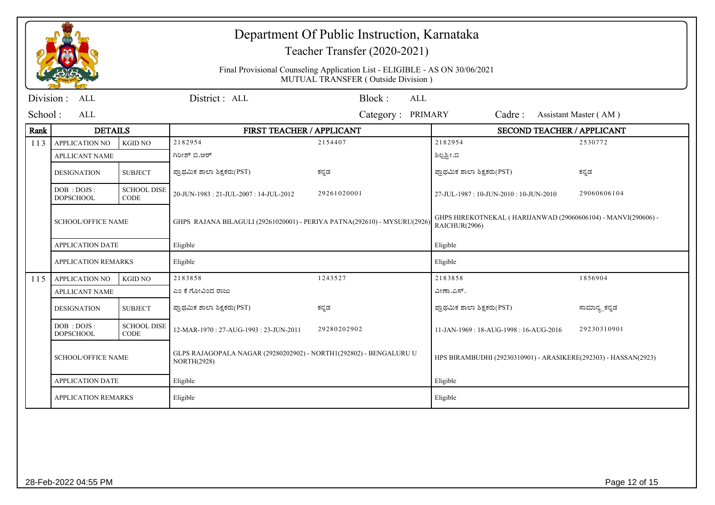|           |                                  |                                   |                                                                                          | Department Of Public Instruction, Karnataka<br>Teacher Transfer (2020-2021)                                                                                |                                                                 |                       |
|-----------|----------------------------------|-----------------------------------|------------------------------------------------------------------------------------------|------------------------------------------------------------------------------------------------------------------------------------------------------------|-----------------------------------------------------------------|-----------------------|
|           |                                  |                                   |                                                                                          | Final Provisional Counseling Application List - ELIGIBLE - AS ON 30/06/2021<br>MUTUAL TRANSFER (Outside Division)                                          |                                                                 |                       |
| Division: | <b>ALL</b>                       |                                   | District: ALL                                                                            | Block:<br><b>ALL</b>                                                                                                                                       |                                                                 |                       |
| School:   | ALL                              |                                   |                                                                                          | Category: PRIMARY                                                                                                                                          | Cadre:                                                          | Assistant Master (AM) |
| Rank      | <b>DETAILS</b>                   |                                   | FIRST TEACHER / APPLICANT                                                                |                                                                                                                                                            | SECOND TEACHER / APPLICANT                                      |                       |
| 113       | APPLICATION NO                   | <b>KGID NO</b>                    | 2182954                                                                                  | 2154407                                                                                                                                                    | 2182954                                                         | 2530772               |
|           | <b>APLLICANT NAME</b>            |                                   | ಗಿರೀಶ್ ಬಿ.ಆರ್                                                                            |                                                                                                                                                            | ಶಿಲ್ಪತ್ತೀ.ಬಿ                                                    |                       |
|           | <b>DESIGNATION</b>               | <b>SUBJECT</b>                    | ಪ್ರಾಥಮಿಕ ಶಾಲಾ ಶಿಕ್ಷಕರು(PST)                                                              | ಕನ್ನಡ                                                                                                                                                      | ಪ್ರಾಥಮಿಕ ಶಾಲಾ ಶಿಕ್ಷಕರು(PST)                                     | ಕನ್ನಡ                 |
|           | DOB : DOJS :<br><b>DOPSCHOOL</b> | <b>SCHOOL DISE</b><br><b>CODE</b> | 20-JUN-1983: 21-JUL-2007: 14-JUL-2012                                                    | 29261020001                                                                                                                                                | 27-JUL-1987: 10-JUN-2010: 10-JUN-2010                           | 29060606104           |
|           | <b>SCHOOL/OFFICE NAME</b>        |                                   |                                                                                          | GHPS HIREKOTNEKAL (HARIJANWAD (29060606104) - MANVI(290606) -<br>GHPS RAJANA BILAGULI (29261020001) - PERIYA PATNA(292610) - MYSURU(2926)<br>RAICHUR(2906) |                                                                 |                       |
|           | <b>APPLICATION DATE</b>          |                                   | Eligible                                                                                 |                                                                                                                                                            | Eligible                                                        |                       |
|           | <b>APPLICATION REMARKS</b>       |                                   | Eligible                                                                                 |                                                                                                                                                            | Eligible                                                        |                       |
| 115       | <b>APPLICATION NO</b>            | <b>KGID NO</b>                    | 2183858                                                                                  | 1243527                                                                                                                                                    | 2183858                                                         | 1856904               |
|           | <b>APLLICANT NAME</b>            |                                   | ಎಂ ಕೆ ಗೋವಿಂದ ರಾಜು                                                                        |                                                                                                                                                            | ವೀಣಾ.ಎಸ್.                                                       |                       |
|           | <b>DESIGNATION</b>               | <b>SUBJECT</b>                    | ಪ್ರಾಥಮಿಕ ಶಾಲಾ ಶಿಕ್ಷಕರು(PST)                                                              | ಕನ್ನಡ                                                                                                                                                      | ಪ್ರಾಥಮಿಕ ಶಾಲಾ ಶಿಕ್ಷಕರು(PST)                                     | ಸಾಮಾನ್ಯ_ಕನ್ನಡ         |
|           | DOB : DOJS :<br><b>DOPSCHOOL</b> | <b>SCHOOL DISE</b><br><b>CODE</b> | 12-MAR-1970: 27-AUG-1993: 23-JUN-2011                                                    | 29280202902                                                                                                                                                | 11-JAN-1969 : 18-AUG-1998 : 16-AUG-2016                         | 29230310901           |
|           | <b>SCHOOL/OFFICE NAME</b>        |                                   | GLPS RAJAGOPALA NAGAR (29280202902) - NORTH1(292802) - BENGALURU U<br><b>NORTH(2928)</b> |                                                                                                                                                            | HPS BIRAMBUDHI (29230310901) - ARASIKERE(292303) - HASSAN(2923) |                       |
|           | <b>APPLICATION DATE</b>          |                                   | Eligible                                                                                 |                                                                                                                                                            | Eligible                                                        |                       |
|           | <b>APPLICATION REMARKS</b>       |                                   | Eligible                                                                                 |                                                                                                                                                            | Eligible                                                        |                       |
|           |                                  |                                   |                                                                                          |                                                                                                                                                            |                                                                 |                       |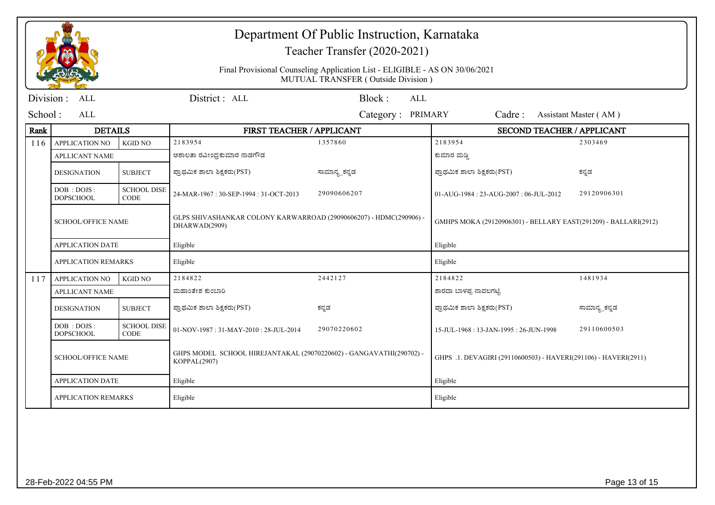|                            |                                     |                                   | Department Of Public Instruction, Karnataka<br>Teacher Transfer (2020-2021)<br>Final Provisional Counseling Application List - ELIGIBLE - AS ON 30/06/2021<br>MUTUAL TRANSFER (Outside Division) |               |                                                                 |               |  |
|----------------------------|-------------------------------------|-----------------------------------|--------------------------------------------------------------------------------------------------------------------------------------------------------------------------------------------------|---------------|-----------------------------------------------------------------|---------------|--|
| Division:                  | ALL                                 |                                   | District: ALL                                                                                                                                                                                    | Block:<br>ALL |                                                                 |               |  |
| School :<br>ALL            |                                     |                                   | <b>PRIMARY</b><br>Cadre:<br>Assistant Master (AM)<br>Category:                                                                                                                                   |               |                                                                 |               |  |
| Rank                       | <b>DETAILS</b>                      |                                   | FIRST TEACHER / APPLICANT                                                                                                                                                                        |               | <b>SECOND TEACHER / APPLICANT</b>                               |               |  |
| 116                        | <b>APPLICATION NO</b>               | <b>KGID NO</b>                    | 2183954                                                                                                                                                                                          | 1357860       | 2183954                                                         | 2303469       |  |
|                            | <b>APLLICANT NAME</b>               |                                   | ಆಶಾಲತಾ ರವೀಂಧ್ರಕುಮಾರ ನಾಡಗೌಡ                                                                                                                                                                       |               | ಕುಮಾರ ಮಡ್ಡಿ                                                     |               |  |
|                            | <b>DESIGNATION</b>                  | <b>SUBJECT</b>                    | ಪ್ರಾಥಮಿಕ ಶಾಲಾ ಶಿಕ್ಷಕರು(PST)                                                                                                                                                                      | ಸಾಮಾನ್ಯ ಕನ್ನಡ | ಪ್ರಾಥಮಿಕ ಶಾಲಾ ಶಿಕ್ಷಕರು(PST)                                     | ಕನ್ನಡ         |  |
|                            | DOB : DOJS :<br><b>DOPSCHOOL</b>    | <b>SCHOOL DISE</b><br><b>CODE</b> | 24-MAR-1967: 30-SEP-1994: 31-OCT-2013                                                                                                                                                            | 29090606207   | 01-AUG-1984: 23-AUG-2007: 06-JUL-2012                           | 29120906301   |  |
|                            | <b>SCHOOL/OFFICE NAME</b>           |                                   | GLPS SHIVASHANKAR COLONY KARWARROAD (29090606207) - HDMC(290906) -<br>DHARWAD(2909)                                                                                                              |               | GMHPS MOKA (29120906301) - BELLARY EAST(291209) - BALLARI(2912) |               |  |
|                            | <b>APPLICATION DATE</b>             |                                   | Eligible                                                                                                                                                                                         |               | Eligible                                                        |               |  |
| <b>APPLICATION REMARKS</b> |                                     |                                   | Eligible                                                                                                                                                                                         |               | Eligible                                                        |               |  |
| 117                        | <b>APPLICATION NO</b>               | <b>KGID NO</b>                    | 2184822                                                                                                                                                                                          | 2442127       | 2184822                                                         | 1481934       |  |
|                            | <b>APLLICANT NAME</b>               |                                   | ಮಹಾಂತೇಶ ಕುಂಬಾರಿ                                                                                                                                                                                  |               | ಶಾರದಾ ಬಾಳಪ್ಪ ನಾವಲಗಟ್ಟಿ                                          |               |  |
|                            | <b>DESIGNATION</b>                  | <b>SUBJECT</b>                    | ಪ್ರಾಥಮಿಕ ಶಾಲಾ ಶಿಕ್ಷಕರು(PST)                                                                                                                                                                      | ಕನ್ನಡ         | ಪ್ರಾಥಮಿಕ ಶಾಲಾ ಶಿಕ್ಷಕರು(PST)                                     | ಸಾಮಾನ್ಯ_ಕನ್ನಡ |  |
|                            | DOB : DOJS :<br><b>DOPSCHOOL</b>    | <b>SCHOOL DISE</b><br><b>CODE</b> | 01-NOV-1987: 31-MAY-2010: 28-JUL-2014                                                                                                                                                            | 29070220602   | 15-JUL-1968: 13-JAN-1995: 26-JUN-1998                           | 29110600503   |  |
|                            | <b>SCHOOL/OFFICE NAME</b>           |                                   | GHPS MODEL SCHOOL HIREJANTAKAL (29070220602) - GANGAVATHI(290702) -<br>KOPPAL(2907)                                                                                                              |               | GHPS .1. DEVAGIRI (29110600503) - HAVERI(291106) - HAVERI(2911) |               |  |
|                            | <b>APPLICATION DATE</b><br>Eligible |                                   |                                                                                                                                                                                                  | Eligible      |                                                                 |               |  |
|                            | <b>APPLICATION REMARKS</b>          |                                   | Eligible                                                                                                                                                                                         |               | Eligible                                                        |               |  |
|                            |                                     |                                   |                                                                                                                                                                                                  |               |                                                                 |               |  |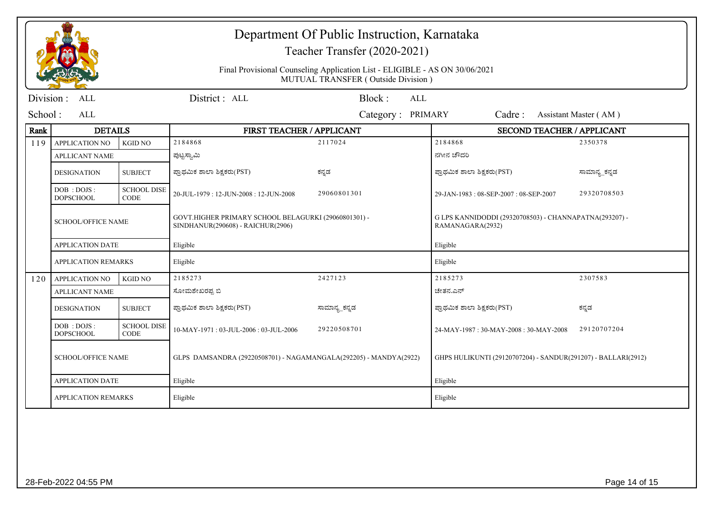|                          |                                  |                                   | Department Of Public Instruction, Karnataka<br>Teacher Transfer (2020-2021)<br>Final Provisional Counseling Application List - ELIGIBLE - AS ON 30/06/2021<br>MUTUAL TRANSFER (Outside Division) |                      |                                                                            |                       |  |
|--------------------------|----------------------------------|-----------------------------------|--------------------------------------------------------------------------------------------------------------------------------------------------------------------------------------------------|----------------------|----------------------------------------------------------------------------|-----------------------|--|
| <b>ALL</b><br>Division : |                                  |                                   | District: ALL                                                                                                                                                                                    | Block:<br><b>ALL</b> |                                                                            |                       |  |
| School:<br>ALL           |                                  |                                   |                                                                                                                                                                                                  | Category: PRIMARY    | Cadre:                                                                     | Assistant Master (AM) |  |
| Rank                     | <b>DETAILS</b>                   |                                   | FIRST TEACHER / APPLICANT                                                                                                                                                                        |                      | SECOND TEACHER / APPLICANT                                                 |                       |  |
| 119                      | <b>APPLICATION NO</b>            | <b>KGID NO</b>                    | 2184868                                                                                                                                                                                          | 2117024              | 2184868                                                                    | 2350378               |  |
|                          | <b>APLLICANT NAME</b>            |                                   | ಪುಟ್ಟಸ್ವಾಮಿ                                                                                                                                                                                      |                      | ನಗೀನ ಚೌದರಿ                                                                 |                       |  |
|                          | <b>DESIGNATION</b>               | <b>SUBJECT</b>                    | ಪ್ರಾಥಮಿಕ ಶಾಲಾ ಶಿಕ್ಷಕರು(PST)                                                                                                                                                                      | ಕನ್ನಡ                | ಪ್ರಾಥಮಿಕ ಶಾಲಾ ಶಿಕ್ಷಕರು(PST)                                                | ಸಾಮಾನ್ಯ ಕನ್ನಡ         |  |
|                          | DOB: DOJS:<br><b>DOPSCHOOL</b>   | <b>SCHOOL DISE</b><br><b>CODE</b> | 20-JUL-1979: 12-JUN-2008: 12-JUN-2008                                                                                                                                                            | 29060801301          | 29-JAN-1983: 08-SEP-2007: 08-SEP-2007                                      | 29320708503           |  |
|                          | <b>SCHOOL/OFFICE NAME</b>        |                                   | GOVT.HIGHER PRIMARY SCHOOL BELAGURKI (29060801301) -<br>SINDHANUR(290608) - RAICHUR(2906)                                                                                                        |                      | G LPS KANNIDODDI (29320708503) - CHANNAPATNA(293207) -<br>RAMANAGARA(2932) |                       |  |
|                          | <b>APPLICATION DATE</b>          |                                   | Eligible                                                                                                                                                                                         |                      | Eligible                                                                   |                       |  |
|                          | <b>APPLICATION REMARKS</b>       |                                   | Eligible                                                                                                                                                                                         |                      | Eligible                                                                   |                       |  |
| 120                      | <b>APPLICATION NO</b>            | <b>KGID NO</b>                    | 2185273                                                                                                                                                                                          | 2427123              | 2185273                                                                    | 2307583               |  |
|                          | <b>APLLICANT NAME</b>            |                                   | ಸೋಮಶೇಖರಪ್ಪ ಬಿ                                                                                                                                                                                    |                      | ಚೇತನ.ಎನ್                                                                   |                       |  |
|                          | <b>DESIGNATION</b>               | <b>SUBJECT</b>                    | ಪ್ರಾಥಮಿಕ ಶಾಲಾ ಶಿಕ್ಷಕರು(PST)                                                                                                                                                                      | ಸಾಮಾನ್ಯ_ಕನ್ನಡ        | ಪ್ರಾಥಮಿಕ ಶಾಲಾ ಶಿಕ್ಷಕರು(PST)                                                | ಕನ್ನಡ                 |  |
|                          | DOB : DOJS :<br><b>DOPSCHOOL</b> | <b>SCHOOL DISE</b><br><b>CODE</b> | 10-MAY-1971: 03-JUL-2006: 03-JUL-2006                                                                                                                                                            | 29220508701          | 24-MAY-1987: 30-MAY-2008: 30-MAY-2008                                      | 29120707204           |  |
|                          | <b>SCHOOL/OFFICE NAME</b>        |                                   | GLPS DAMSANDRA (29220508701) - NAGAMANGALA(292205) - MANDYA(2922)                                                                                                                                |                      | GHPS HULIKUNTI (29120707204) - SANDUR(291207) - BALLARI(2912)              |                       |  |
|                          | <b>APPLICATION DATE</b>          |                                   | Eligible                                                                                                                                                                                         |                      | Eligible                                                                   |                       |  |
|                          | <b>APPLICATION REMARKS</b>       |                                   | Eligible                                                                                                                                                                                         |                      | Eligible                                                                   |                       |  |